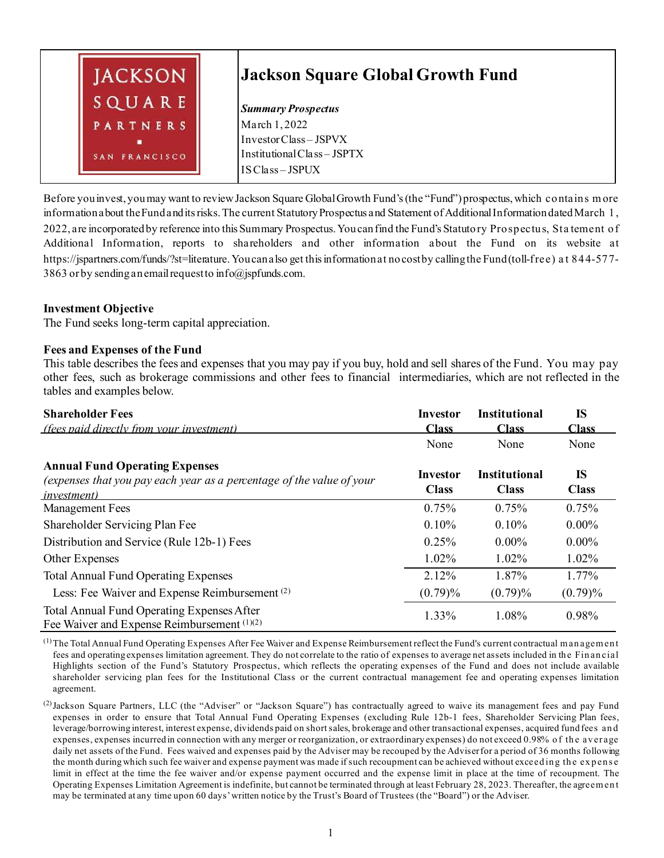

Before you invest, you may want to review Jackson Square GlobalGrowth Fund's (the "Fund") prospectus, which contains m ore information about the Fund and its risks. The current Statutory Prospectus and Statement of Additional Information dated March 1, 2022, are incorporated by reference into this Summary Prospectus. You can find the Fund's Statutory Prospectus, Sta tement of Additional Information, reports to shareholders and other information about the Fund on its website at https://jspartners.com/funds/?st=literature. You can also get this information at no cost by calling the Fund (toll-free) a t 844-577- 3863 or by sending an email request to info@jspfunds.com.

## **Investment Objective**

The Fund seeks long-term capital appreciation.

#### **Fees and Expenses of the Fund**

This table describes the fees and expenses that you may pay if you buy, hold and sell shares of the Fund. You may pay other fees, such as brokerage commissions and other fees to financial intermediaries, which are not reflected in the tables and examples below.

| <b>Shareholder Fees</b>                                                                                                               | <b>Investor</b>                 | <b>Institutional</b>                 | <b>IS</b>                 |
|---------------------------------------------------------------------------------------------------------------------------------------|---------------------------------|--------------------------------------|---------------------------|
| <i>(fees paid directly from your investment)</i>                                                                                      | <b>Class</b>                    | <b>Class</b>                         | <b>Class</b>              |
|                                                                                                                                       | None                            | None                                 | None                      |
| <b>Annual Fund Operating Expenses</b><br>(expenses that you pay each year as a percentage of the value of your<br><i>investment</i> ) | <b>Investor</b><br><b>Class</b> | <b>Institutional</b><br><b>Class</b> | <b>IS</b><br><b>Class</b> |
| <b>Management Fees</b>                                                                                                                | 0.75%                           | 0.75%                                | 0.75%                     |
| Shareholder Servicing Plan Fee                                                                                                        | 0.10%                           | 0.10%                                | $0.00\%$                  |
| Distribution and Service (Rule 12b-1) Fees                                                                                            | 0.25%                           | $0.00\%$                             | $0.00\%$                  |
| Other Expenses                                                                                                                        | 1.02%                           | 1.02%                                | 1.02%                     |
| <b>Total Annual Fund Operating Expenses</b>                                                                                           | 2.12%                           | 1.87%                                | 1.77%                     |
| Less: Fee Waiver and Expense Reimbursement <sup>(2)</sup>                                                                             | $(0.79)\%$                      | $(0.79)\%$                           | (0.79)%                   |
| Total Annual Fund Operating Expenses After<br>Fee Waiver and Expense Reimbursement (1)(2)                                             | 1.33%                           | 1.08%                                | 0.98%                     |

(1)The Total Annual Fund Operating Expenses After Fee Waiver and Expense Reimbursement reflect the Fund's current contractual m an agem en t fees and operating expenses limitation agreement. They do not correlate to the ratio of expenses to average net assets included in th e Fin an cial Highlights section of the Fund's Statutory Prospectus, which reflects the operating expenses of the Fund and does not include available shareholder servicing plan fees for the Institutional Class or the current contractual management fee and operating expenses limitation agreement.

(2)Jackson Square Partners, LLC (the "Adviser" or "Jackson Square") has contractually agreed to waive its management fees and pay Fund expenses in order to ensure that Total Annual Fund Operating Expenses (excluding Rule 12b-1 fees, Shareholder Servicing Plan fees, leverage/borrowing interest, interest expense, dividends paid on short sales, brokerage and other transactional expenses, acquired fund fees and expenses, expenses incurred in connection with any merger or reorganization, or extraordinary expenses) do not exceed 0.98% of the average daily net assets of the Fund. Fees waived and expenses paid by the Adviser may be recouped by the Adviser for a period of 36 months following the month during which such fee waiver and expense payment was made if such recoupment can be achieved without exceed ing the expense limit in effect at the time the fee waiver and/or expense payment occurred and the expense limit in place at the time of recoupment. The Operating Expenses Limitation Agreement is indefinite, but cannot be terminated through at least February 28, 2023. Thereafter, the agreem en t may be terminated at any time upon 60 days' written notice by the Trust's Board of Trustees (the "Board") or the Adviser.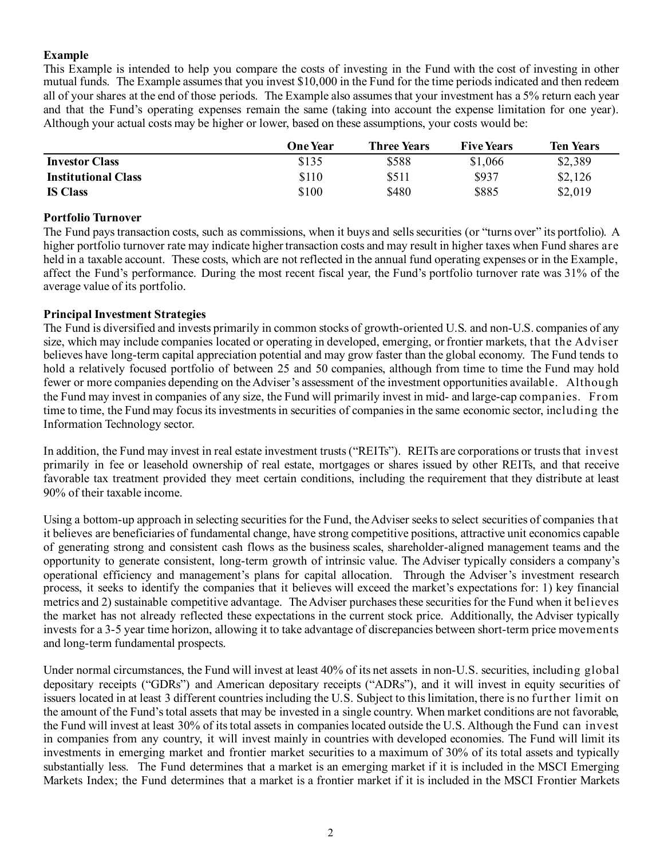# **Example**

This Example is intended to help you compare the costs of investing in the Fund with the cost of investing in other mutual funds. The Example assumes that you invest \$10,000 in the Fund for the time periods indicated and then redeem all of your shares at the end of those periods. The Example also assumes that your investment has a 5% return each year and that the Fund's operating expenses remain the same (taking into account the expense limitation for one year). Although your actual costs may be higher or lower, based on these assumptions, your costs would be:

|                            | <b>One Year</b> | Three Years | <b>Five Years</b> | <b>Ten Years</b> |
|----------------------------|-----------------|-------------|-------------------|------------------|
| <b>Investor Class</b>      | \$135           | \$588       | \$1,066           | \$2,389          |
| <b>Institutional Class</b> | \$110           | \$511       | \$937             | \$2,126          |
| <b>IS Class</b>            | \$100           | \$480       | \$885             | \$2,019          |

## **Portfolio Turnover**

The Fund pays transaction costs, such as commissions, when it buys and sells securities (or "turns over" its portfolio). A higher portfolio turnover rate may indicate higher transaction costs and may result in higher taxes when Fund shares are held in a taxable account. These costs, which are not reflected in the annual fund operating expenses or in the Example, affect the Fund's performance. During the most recent fiscal year, the Fund's portfolio turnover rate was 31% of the average value of its portfolio.

## **Principal Investment Strategies**

The Fund is diversified and invests primarily in common stocks of growth-oriented U.S. and non-U.S. companies of any size, which may include companies located or operating in developed, emerging, or frontier markets, that the Adviser believes have long-term capital appreciation potential and may grow faster than the global economy. The Fund tends to hold a relatively focused portfolio of between 25 and 50 companies, although from time to time the Fund may hold fewer or more companies depending on the Adviser's assessment of the investment opportunities available. Although the Fund may invest in companies of any size, the Fund will primarily invest in mid- and large-cap companies. From time to time, the Fund may focus its investments in securities of companies in the same economic sector, including the Information Technology sector.

In addition, the Fund may invest in real estate investment trusts ("REITs"). REITs are corporations or trusts that invest primarily in fee or leasehold ownership of real estate, mortgages or shares issued by other REITs, and that receive favorable tax treatment provided they meet certain conditions, including the requirement that they distribute at least 90% of their taxable income.

Using a bottom-up approach in selecting securities for the Fund, the Adviser seeks to select securities of companies that it believes are beneficiaries of fundamental change, have strong competitive positions, attractive unit economics capable of generating strong and consistent cash flows as the business scales, shareholder-aligned management teams and the opportunity to generate consistent, long-term growth of intrinsic value. The Adviser typically considers a company's operational efficiency and management's plans for capital allocation. Through the Adviser's investment research process, it seeks to identify the companies that it believes will exceed the market's expectations for: 1) key financial metrics and 2) sustainable competitive advantage. The Adviser purchases these securities for the Fund when it believes the market has not already reflected these expectations in the current stock price. Additionally, the Adviser typically invests for a 3-5 year time horizon, allowing it to take advantage of discrepancies between short-term price movements and long-term fundamental prospects.

Under normal circumstances, the Fund will invest at least 40% of its net assets in non-U.S. securities, including global depositary receipts ("GDRs") and American depositary receipts ("ADRs"), and it will invest in equity securities of issuers located in at least 3 different countries including the U.S. Subject to this limitation, there is no further limit on the amount of the Fund's total assets that may be invested in a single country. When market conditions are not favorable, the Fund will invest at least 30% of its total assets in companies located outside the U.S. Although the Fund can invest in companies from any country, it will invest mainly in countries with developed economies. The Fund will limit its investments in emerging market and frontier market securities to a maximum of 30% of its total assets and typically substantially less. The Fund determines that a market is an emerging market if it is included in the MSCI Emerging Markets Index; the Fund determines that a market is a frontier market if it is included in the MSCI Frontier Markets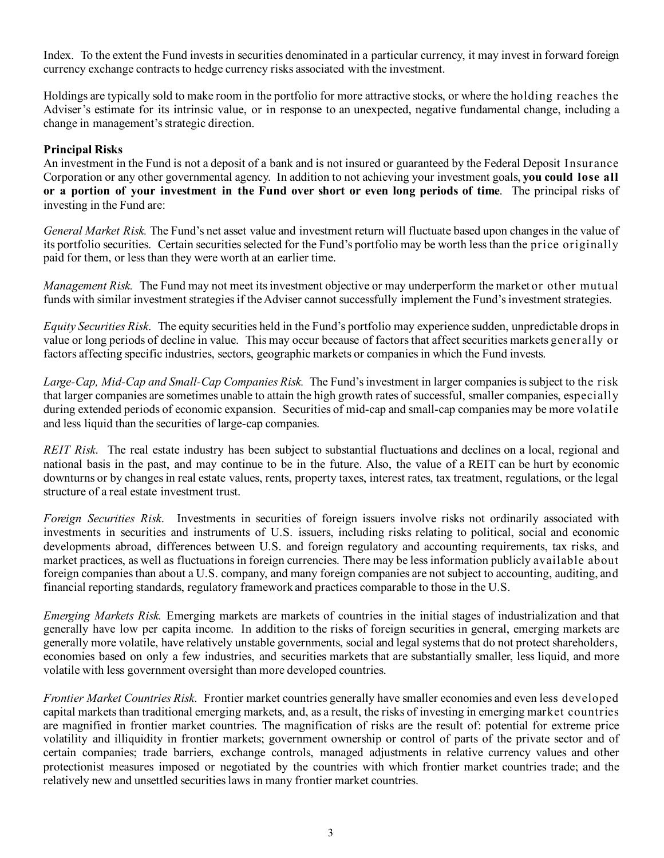Index. To the extent the Fund invests in securities denominated in a particular currency, it may invest in forward foreign currency exchange contracts to hedge currency risks associated with the investment.

Holdings are typically sold to make room in the portfolio for more attractive stocks, or where the holding reaches the Adviser's estimate for its intrinsic value, or in response to an unexpected, negative fundamental change, including a change in management's strategic direction.

# **Principal Risks**

An investment in the Fund is not a deposit of a bank and is not insured or guaranteed by the Federal Deposit Insurance Corporation or any other governmental agency. In addition to not achieving your investment goals, **you could lose all or a portion of your investment in the Fund over short or even long periods of time**. The principal risks of investing in the Fund are:

*General Market Risk.* The Fund's net asset value and investment return will fluctuate based upon changes in the value of its portfolio securities. Certain securities selected for the Fund's portfolio may be worth less than the price originally paid for them, or less than they were worth at an earlier time.

*Management Risk.* The Fund may not meet its investment objective or may underperform the market or other mutual funds with similar investment strategies if the Adviser cannot successfully implement the Fund's investment strategies.

*Equity Securities Risk*. The equity securities held in the Fund's portfolio may experience sudden, unpredictable drops in value or long periods of decline in value. This may occur because of factors that affect securities markets generally or factors affecting specific industries, sectors, geographic markets or companies in which the Fund invests.

*Large-Cap, Mid-Cap and Small-Cap Companies Risk.* The Fund's investment in larger companies is subject to the risk that larger companies are sometimes unable to attain the high growth rates of successful, smaller companies, especially during extended periods of economic expansion. Securities of mid-cap and small-cap companies may be more volatile and less liquid than the securities of large-cap companies.

*REIT Risk*. The real estate industry has been subject to substantial fluctuations and declines on a local, regional and national basis in the past, and may continue to be in the future. Also, the value of a REIT can be hurt by economic downturns or by changes in real estate values, rents, property taxes, interest rates, tax treatment, regulations, or the legal structure of a real estate investment trust.

*Foreign Securities Risk*. Investments in securities of foreign issuers involve risks not ordinarily associated with investments in securities and instruments of U.S. issuers, including risks relating to political, social and economic developments abroad, differences between U.S. and foreign regulatory and accounting requirements, tax risks, and market practices, as well as fluctuations in foreign currencies. There may be less information publicly available about foreign companies than about a U.S. company, and many foreign companies are not subject to accounting, auditing, and financial reporting standards, regulatory framework and practices comparable to those in the U.S.

*Emerging Markets Risk.* Emerging markets are markets of countries in the initial stages of industrialization and that generally have low per capita income. In addition to the risks of foreign securities in general, emerging markets are generally more volatile, have relatively unstable governments, social and legal systems that do not protect shareholders, economies based on only a few industries, and securities markets that are substantially smaller, less liquid, and more volatile with less government oversight than more developed countries.

*Frontier Market Countries Risk*. Frontier market countries generally have smaller economies and even less developed capital markets than traditional emerging markets, and, as a result, the risks of investing in emerging market countries are magnified in frontier market countries. The magnification of risks are the result of: potential for extreme price volatility and illiquidity in frontier markets; government ownership or control of parts of the private sector and of certain companies; trade barriers, exchange controls, managed adjustments in relative currency values and other protectionist measures imposed or negotiated by the countries with which frontier market countries trade; and the relatively new and unsettled securities laws in many frontier market countries.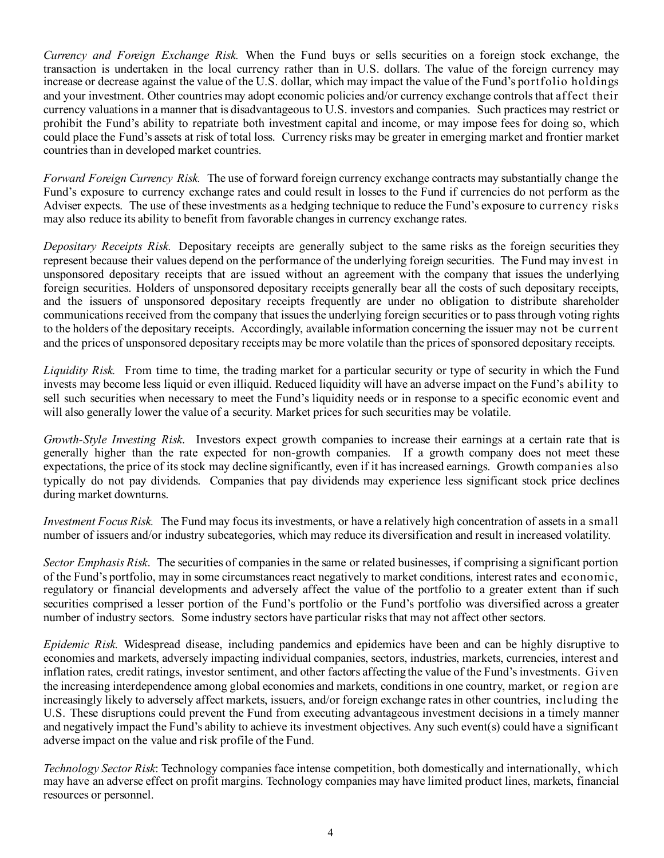*Currency and Foreign Exchange Risk.* When the Fund buys or sells securities on a foreign stock exchange, the transaction is undertaken in the local currency rather than in U.S. dollars. The value of the foreign currency may increase or decrease against the value of the U.S. dollar, which may impact the value of the Fund's portfolio holdings and your investment. Other countries may adopt economic policies and/or currency exchange controls that affect their currency valuations in a manner that is disadvantageous to U.S. investors and companies. Such practices may restrict or prohibit the Fund's ability to repatriate both investment capital and income, or may impose fees for doing so, which could place the Fund's assets at risk of total loss. Currency risks may be greater in emerging market and frontier market countries than in developed market countries.

*Forward Foreign Currency Risk.* The use of forward foreign currency exchange contracts may substantially change the Fund's exposure to currency exchange rates and could result in losses to the Fund if currencies do not perform as the Adviser expects. The use of these investments as a hedging technique to reduce the Fund's exposure to currency risks may also reduce its ability to benefit from favorable changes in currency exchange rates.

*Depositary Receipts Risk.* Depositary receipts are generally subject to the same risks as the foreign securities they represent because their values depend on the performance of the underlying foreign securities. The Fund may invest in unsponsored depositary receipts that are issued without an agreement with the company that issues the underlying foreign securities. Holders of unsponsored depositary receipts generally bear all the costs of such depositary receipts, and the issuers of unsponsored depositary receipts frequently are under no obligation to distribute shareholder communications received from the company that issues the underlying foreign securities or to pass through voting rights to the holders of the depositary receipts. Accordingly, available information concerning the issuer may not be current and the prices of unsponsored depositary receipts may be more volatile than the prices of sponsored depositary receipts.

*Liquidity Risk.* From time to time, the trading market for a particular security or type of security in which the Fund invests may become less liquid or even illiquid. Reduced liquidity will have an adverse impact on the Fund's ability to sell such securities when necessary to meet the Fund's liquidity needs or in response to a specific economic event and will also generally lower the value of a security. Market prices for such securities may be volatile.

*Growth-Style Investing Risk*. Investors expect growth companies to increase their earnings at a certain rate that is generally higher than the rate expected for non-growth companies. If a growth company does not meet these expectations, the price of its stock may decline significantly, even if it has increased earnings. Growth companies also typically do not pay dividends. Companies that pay dividends may experience less significant stock price declines during market downturns.

*Investment Focus Risk.* The Fund may focus its investments, or have a relatively high concentration of assets in a small number of issuers and/or industry subcategories, which may reduce its diversification and result in increased volatility.

*Sector Emphasis Risk*. The securities of companies in the same or related businesses, if comprising a significant portion of the Fund's portfolio, may in some circumstances react negatively to market conditions, interest rates and economic, regulatory or financial developments and adversely affect the value of the portfolio to a greater extent than if such securities comprised a lesser portion of the Fund's portfolio or the Fund's portfolio was diversified across a greater number of industry sectors. Some industry sectors have particular risks that may not affect other sectors.

*Epidemic Risk.* Widespread disease, including pandemics and epidemics have been and can be highly disruptive to economies and markets, adversely impacting individual companies, sectors, industries, markets, currencies, interest and inflation rates, credit ratings, investor sentiment, and other factors affecting the value of the Fund's investments. Given the increasing interdependence among global economies and markets, conditions in one country, market, or region are increasingly likely to adversely affect markets, issuers, and/or foreign exchange rates in other countries, including the U.S. These disruptions could prevent the Fund from executing advantageous investment decisions in a timely manner and negatively impact the Fund's ability to achieve its investment objectives. Any such event(s) could have a significant adverse impact on the value and risk profile of the Fund.

*Technology Sector Risk*: Technology companies face intense competition, both domestically and internationally, which may have an adverse effect on profit margins. Technology companies may have limited product lines, markets, financial resources or personnel.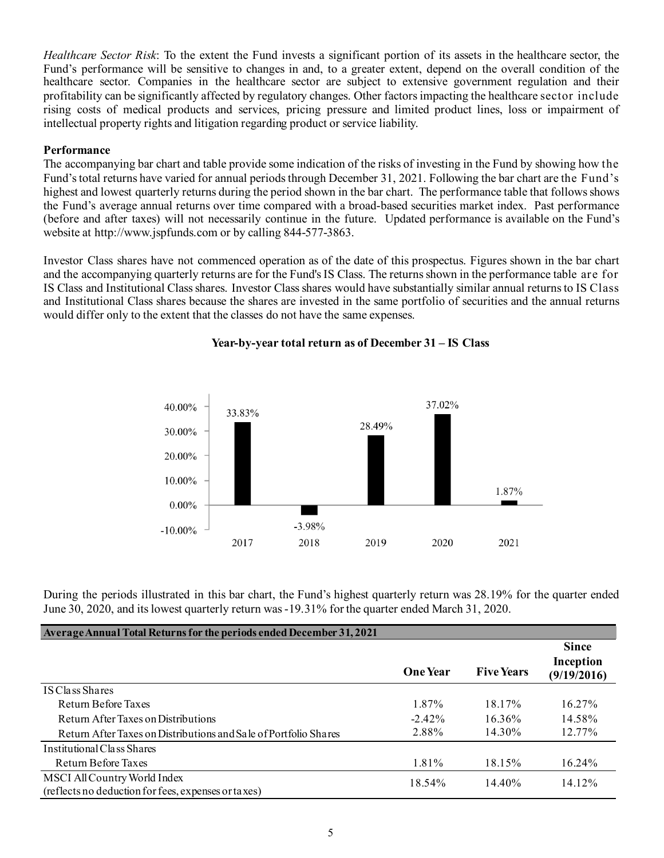*Healthcare Sector Risk*: To the extent the Fund invests a significant portion of its assets in the healthcare sector, the Fund's performance will be sensitive to changes in and, to a greater extent, depend on the overall condition of the healthcare sector. Companies in the healthcare sector are subject to extensive government regulation and their profitability can be significantly affected by regulatory changes. Other factors impacting the healthcare sector include rising costs of medical products and services, pricing pressure and limited product lines, loss or impairment of intellectual property rights and litigation regarding product or service liability.

## **Performance**

The accompanying bar chart and table provide some indication of the risks of investing in the Fund by showing how the Fund's total returns have varied for annual periods through December 31, 2021. Following the bar chart are the Fund's highest and lowest quarterly returns during the period shown in the bar chart. The performance table that follows shows the Fund's average annual returns over time compared with a broad-based securities market index. Past performance (before and after taxes) will not necessarily continue in the future. Updated performance is available on the Fund's website at http://www.jspfunds.com or by calling 844-577-3863.

Investor Class shares have not commenced operation as of the date of this prospectus. Figures shown in the bar chart and the accompanying quarterly returns are for the Fund's IS Class. The returns shown in the performance table are for IS Class and Institutional Class shares. Investor Class shares would have substantially similar annual returns to IS Class and Institutional Class shares because the shares are invested in the same portfolio of securities and the annual returns would differ only to the extent that the classes do not have the same expenses.



## **Year-by-year total return as of December 31 – IS Class**

During the periods illustrated in this bar chart, the Fund's highest quarterly return was 28.19% for the quarter ended June 30, 2020, and itslowest quarterly return was-19.31% for the quarter ended March 31, 2020.

| Average Annual Total Returns for the periods ended December 31, 2021                |                 |                   |                                          |
|-------------------------------------------------------------------------------------|-----------------|-------------------|------------------------------------------|
|                                                                                     | <b>One Year</b> | <b>Five Years</b> | <b>Since</b><br>Inception<br>(9/19/2016) |
| IS Class Shares                                                                     |                 |                   |                                          |
| Return Before Taxes                                                                 | 1.87%           | 18.17%            | 16.27%                                   |
| Return After Taxes on Distributions                                                 | $-2.42\%$       | 16.36%            | 14.58%                                   |
| Return After Taxes on Distributions and Sale of Portfolio Shares                    | 2.88%           | 14.30%            | 12.77%                                   |
| Institutional Class Shares                                                          |                 |                   |                                          |
| Return Before Taxes                                                                 | 1.81%           | 18.15%            | $16.24\%$                                |
| MSCI All Country World Index<br>(reflects no deduction for fees, expenses or taxes) | 18.54%          | 14.40%            | 14.12%                                   |